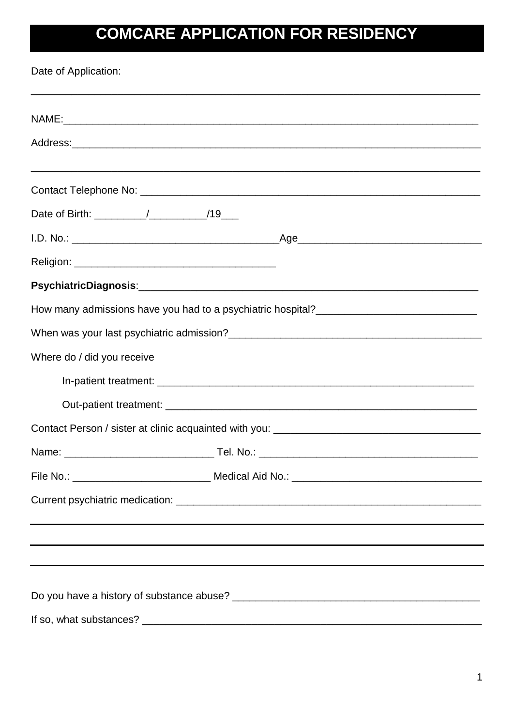# **COMCARE APPLICATION FOR RESIDENCY**

Date of Application:

| Where do / did you receive    |  |  |
|-------------------------------|--|--|
|                               |  |  |
|                               |  |  |
|                               |  |  |
|                               |  |  |
| File No.:<br>Medical Aid No.: |  |  |
|                               |  |  |
|                               |  |  |
|                               |  |  |
|                               |  |  |
|                               |  |  |
| If so, what substances?       |  |  |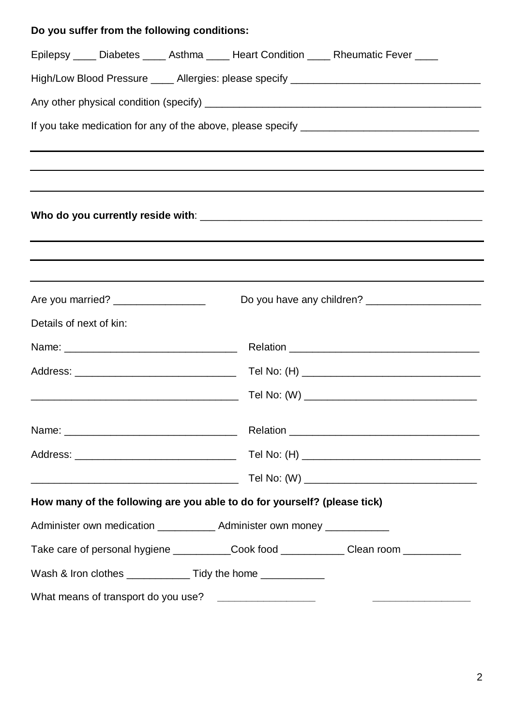## **Do you suffer from the following conditions:**

|                                                                                                                      | Epilepsy ____ Diabetes ____ Asthma ____ Heart Condition ____ Rheumatic Fever ____                              |  |  |  |
|----------------------------------------------------------------------------------------------------------------------|----------------------------------------------------------------------------------------------------------------|--|--|--|
|                                                                                                                      |                                                                                                                |  |  |  |
|                                                                                                                      |                                                                                                                |  |  |  |
|                                                                                                                      |                                                                                                                |  |  |  |
|                                                                                                                      |                                                                                                                |  |  |  |
|                                                                                                                      |                                                                                                                |  |  |  |
| Are you married? ___________________                                                                                 |                                                                                                                |  |  |  |
| Details of next of kin:                                                                                              |                                                                                                                |  |  |  |
|                                                                                                                      |                                                                                                                |  |  |  |
|                                                                                                                      |                                                                                                                |  |  |  |
|                                                                                                                      |                                                                                                                |  |  |  |
|                                                                                                                      | Name: 2008. 2008. Relation 2008. 2009. 2009. Relation 2009. Relation 2008. 2009. 2009. 2009. 2009. 2009. 2009. |  |  |  |
|                                                                                                                      |                                                                                                                |  |  |  |
| <u> 2000 - Jan James James James James James James James James James James James James James James James James J</u> |                                                                                                                |  |  |  |
| How many of the following are you able to do for yourself? (please tick)                                             |                                                                                                                |  |  |  |
| Administer own medication ____________ Administer own money ____________                                             |                                                                                                                |  |  |  |
|                                                                                                                      | Take care of personal hygiene ____________Cook food _____________Clean room ___________                        |  |  |  |
| Wash & Iron clothes _____________ Tidy the home ___________                                                          |                                                                                                                |  |  |  |
|                                                                                                                      |                                                                                                                |  |  |  |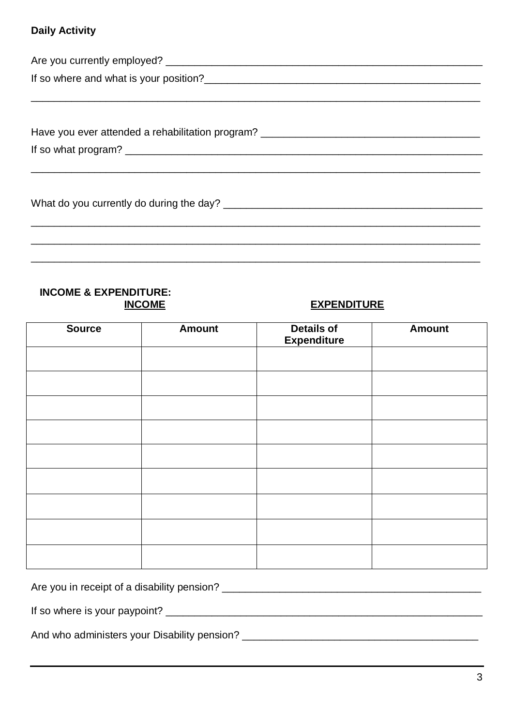#### **Daily Activity**

| Have you ever attended a rehabilitation program? |  |
|--------------------------------------------------|--|
|                                                  |  |
|                                                  |  |
|                                                  |  |
| What do you currently do during the day? ___     |  |

#### **INCOME & EXPENDITURE: INCOME**

### **EXPENDITURE**

| <b>Source</b> | <b>Amount</b> | <b>Details of</b><br><b>Expenditure</b> | <b>Amount</b> |
|---------------|---------------|-----------------------------------------|---------------|
|               |               |                                         |               |
|               |               |                                         |               |
|               |               |                                         |               |
|               |               |                                         |               |
|               |               |                                         |               |
|               |               |                                         |               |
|               |               |                                         |               |
|               |               |                                         |               |
|               |               |                                         |               |

And who administers your Disability pension? \_\_\_\_\_\_\_\_\_\_\_\_\_\_\_\_\_\_\_\_\_\_\_\_\_\_\_\_\_\_\_\_\_\_\_